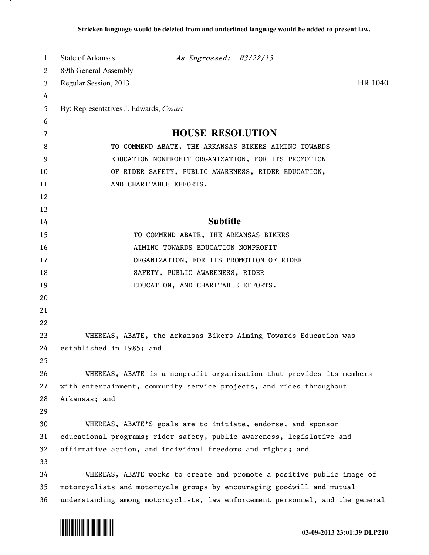| 1  | State of Arkansas<br>As Engrossed: H3/22/13                                   |  |
|----|-------------------------------------------------------------------------------|--|
| 2  | 89th General Assembly                                                         |  |
| 3  | HR 1040<br>Regular Session, 2013                                              |  |
| 4  |                                                                               |  |
| 5  | By: Representatives J. Edwards, Cozart                                        |  |
| 6  |                                                                               |  |
| 7  | <b>HOUSE RESOLUTION</b>                                                       |  |
| 8  | TO COMMEND ABATE, THE ARKANSAS BIKERS AIMING TOWARDS                          |  |
| 9  | EDUCATION NONPROFIT ORGANIZATION, FOR ITS PROMOTION                           |  |
| 10 | OF RIDER SAFETY, PUBLIC AWARENESS, RIDER EDUCATION,                           |  |
| 11 | AND CHARITABLE EFFORTS.                                                       |  |
| 12 |                                                                               |  |
| 13 |                                                                               |  |
| 14 | <b>Subtitle</b>                                                               |  |
| 15 | TO COMMEND ABATE, THE ARKANSAS BIKERS                                         |  |
| 16 | AIMING TOWARDS EDUCATION NONPROFIT                                            |  |
| 17 | ORGANIZATION, FOR ITS PROMOTION OF RIDER                                      |  |
| 18 | SAFETY, PUBLIC AWARENESS, RIDER                                               |  |
| 19 | EDUCATION, AND CHARITABLE EFFORTS.                                            |  |
| 20 |                                                                               |  |
| 21 |                                                                               |  |
| 22 |                                                                               |  |
| 23 | WHEREAS, ABATE, the Arkansas Bikers Aiming Towards Education was              |  |
| 24 | established in 1985; and                                                      |  |
| 25 |                                                                               |  |
| 26 | WHEREAS, ABATE is a nonprofit organization that provides its members          |  |
| 27 | with entertainment, community service projects, and rides throughout          |  |
| 28 | Arkansas; and                                                                 |  |
| 29 |                                                                               |  |
| 30 | WHEREAS, ABATE'S goals are to initiate, endorse, and sponsor                  |  |
| 31 | educational programs; rider safety, public awareness, legislative and         |  |
| 32 | affirmative action, and individual freedoms and rights; and                   |  |
| 33 |                                                                               |  |
| 34 | WHEREAS, ABATE works to create and promote a positive public image of         |  |
| 35 | motorcyclists and motorcycle groups by encouraging goodwill and mutual        |  |
| 36 | understanding among motorcyclists, law enforcement personnel, and the general |  |



л.